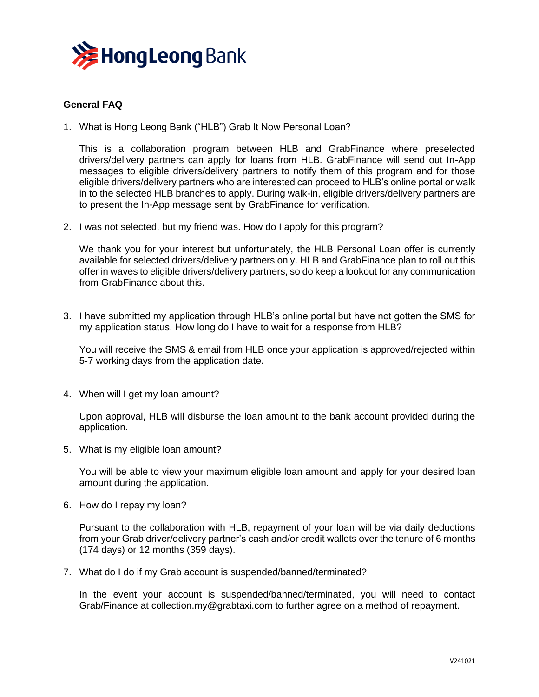

## **General FAQ**

1. What is Hong Leong Bank ("HLB") Grab It Now Personal Loan?

This is a collaboration program between HLB and GrabFinance where preselected drivers/delivery partners can apply for loans from HLB. GrabFinance will send out In-App messages to eligible drivers/delivery partners to notify them of this program and for those eligible drivers/delivery partners who are interested can proceed to HLB's online portal or walk in to the selected HLB branches to apply. During walk-in, eligible drivers/delivery partners are to present the In-App message sent by GrabFinance for verification.

2. I was not selected, but my friend was. How do I apply for this program?

We thank you for your interest but unfortunately, the HLB Personal Loan offer is currently available for selected drivers/delivery partners only. HLB and GrabFinance plan to roll out this offer in waves to eligible drivers/delivery partners, so do keep a lookout for any communication from GrabFinance about this.

3. I have submitted my application through HLB's online portal but have not gotten the SMS for my application status. How long do I have to wait for a response from HLB?

You will receive the SMS & email from HLB once your application is approved/rejected within 5-7 working days from the application date.

4. When will I get my loan amount?

Upon approval, HLB will disburse the loan amount to the bank account provided during the application.

5. What is my eligible loan amount?

You will be able to view your maximum eligible loan amount and apply for your desired loan amount during the application.

6. How do I repay my loan?

Pursuant to the collaboration with HLB, repayment of your loan will be via daily deductions from your Grab driver/delivery partner's cash and/or credit wallets over the tenure of 6 months (174 days) or 12 months (359 days).

7. What do I do if my Grab account is suspended/banned/terminated?

In the event your account is suspended/banned/terminated, you will need to contact Grab/Finance at collection.my@grabtaxi.com to further agree on a method of repayment.